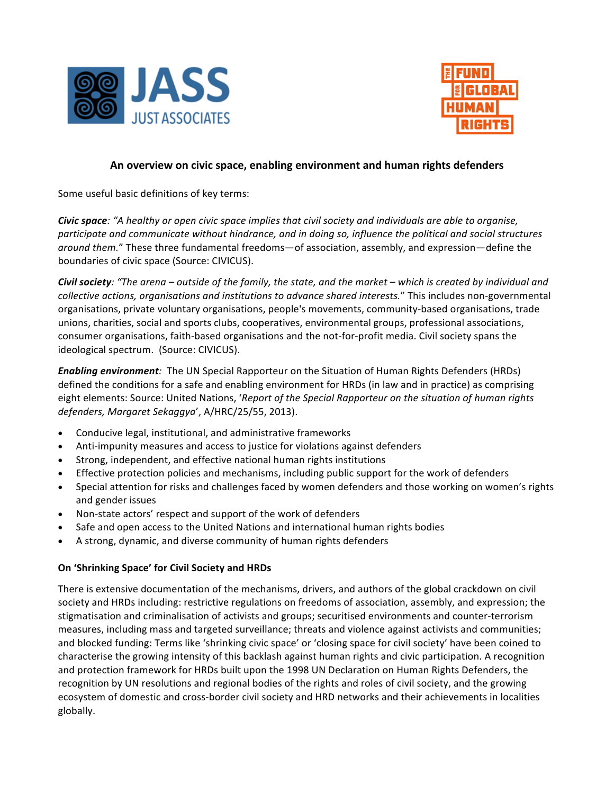



## An overview on civic space, enabling environment and human rights defenders

Some useful basic definitions of key terms:

**Civic space***:* "A healthy or open civic space implies that civil society and individuals are able to organise, participate and communicate without hindrance, and in doing so, influence the political and social structures around them." These three fundamental freedoms—of association, assembly, and expression—define the boundaries of civic space (Source: CIVICUS).

*Civil society:* "The arena – outside of the family, the state, and the market – which is created by individual and *collective actions, organisations and institutions to advance shared interests."* This includes non-governmental organisations, private voluntary organisations, people's movements, community-based organisations, trade unions, charities, social and sports clubs, cooperatives, environmental groups, professional associations, consumer organisations, faith-based organisations and the not-for-profit media. Civil society spans the ideological spectrum. (Source: CIVICUS).

**Enabling environment**: The UN Special Rapporteur on the Situation of Human Rights Defenders (HRDs) defined the conditions for a safe and enabling environment for HRDs (in law and in practice) as comprising eight elements: Source: United Nations, '*Report of the Special Rapporteur on the situation of human rights* defenders, Margaret Sekaggya', A/HRC/25/55, 2013).

- Conducive legal, institutional, and administrative frameworks
- Anti-impunity measures and access to justice for violations against defenders
- Strong, independent, and effective national human rights institutions
- Effective protection policies and mechanisms, including public support for the work of defenders
- Special attention for risks and challenges faced by women defenders and those working on women's rights and gender issues
- Non-state actors' respect and support of the work of defenders
- Safe and open access to the United Nations and international human rights bodies
- A strong, dynamic, and diverse community of human rights defenders

## **On 'Shrinking Space' for Civil Society and HRDs**

There is extensive documentation of the mechanisms, drivers, and authors of the global crackdown on civil society and HRDs including: restrictive regulations on freedoms of association, assembly, and expression; the stigmatisation and criminalisation of activists and groups; securitised environments and counter-terrorism measures, including mass and targeted surveillance; threats and violence against activists and communities; and blocked funding: Terms like 'shrinking civic space' or 'closing space for civil society' have been coined to characterise the growing intensity of this backlash against human rights and civic participation. A recognition and protection framework for HRDs built upon the 1998 UN Declaration on Human Rights Defenders, the recognition by UN resolutions and regional bodies of the rights and roles of civil society, and the growing ecosystem of domestic and cross-border civil society and HRD networks and their achievements in localities globally.